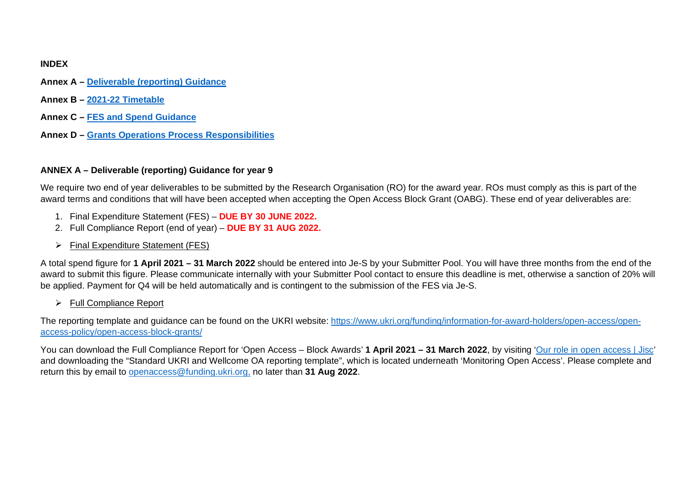### **INDEX**

- **Annex A – [Deliverable \(reporting\) Guidance](#page-0-0)**
- <span id="page-0-1"></span>**Annex B – 2021-22 [Timetable](#page-0-1)**
- **Annex C – FES [and Spend](#page-3-0) Guidance**
- **Annex D – [Grants Operations Process](#page-4-0) Responsibilities**

### <span id="page-0-0"></span>**ANNEX A – Deliverable (reporting) Guidance for year 9**

We require two end of year deliverables to be submitted by the Research Organisation (RO) for the award year. ROs must comply as this is part of the award terms and conditions that will have been accepted when accepting the Open Access Block Grant (OABG). These end of year deliverables are:

- 1. Final Expenditure Statement (FES) **DUE BY 30 JUNE 2022.**
- 2. Full Compliance Report (end of year) **DUE BY 31 AUG 2022.**
- $\triangleright$  Final Expenditure Statement (FES)

A total spend figure for **1 April 2021 – 31 March 2022** should be entered into Je-S by your Submitter Pool. You will have three months from the end of the award to submit this figure. Please communicate internally with your Submitter Pool contact to ensure this deadline is met, otherwise a sanction of 20% will be applied. Payment for Q4 will be held automatically and is contingent to the submission of the FES via Je-S.

 $\triangleright$  Full Compliance Report

The reporting template and guidance can be found on the UKRI website: [https://www.ukri.org/funding/information-for-award-holders/open-access/open](https://www.ukri.org/funding/information-for-award-holders/open-access/open-access-policy/open-access-block-grants/)[access-policy/open-access-block-grants/](https://www.ukri.org/funding/information-for-award-holders/open-access/open-access-policy/open-access-block-grants/)

You can download the Full Compliance Report for 'Open Access – Block Awards' **1 April 2021 – 31 March 2022**, by visiting ['Our role in open access | Jisc'](https://www.jisc.ac.uk/content/open-access/our-role#monitoring) and downloading the "Standard UKRI and Wellcome OA reporting template", which is located underneath 'Monitoring Open Access'. Please complete and return this by email to [openaccess@funding.ukri.org,](mailto:openaccess@funding.ukri.org) no later than **31 Aug 2022**.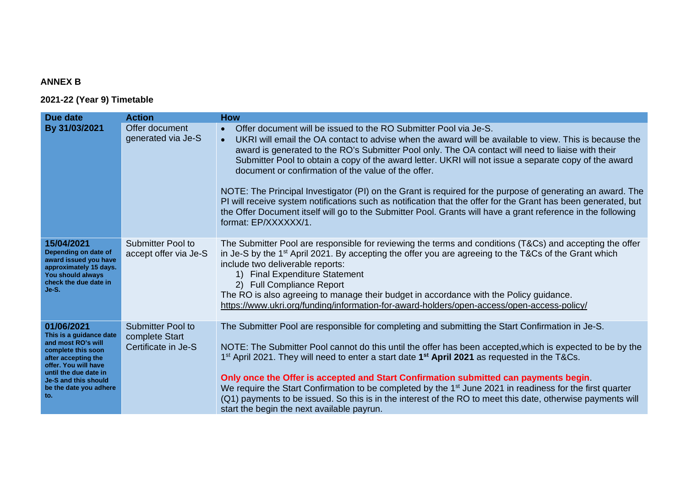# **ANNEX B**

## **2021-22 (Year 9) Timetable**

| Due date                                                                                                                                                                                                           | <b>Action</b>                                                     | <b>How</b>                                                                                                                                                                                                                                                                                                                                                                                                                                                                                                                                                                                                                                                                                                                                                                                                                                        |
|--------------------------------------------------------------------------------------------------------------------------------------------------------------------------------------------------------------------|-------------------------------------------------------------------|---------------------------------------------------------------------------------------------------------------------------------------------------------------------------------------------------------------------------------------------------------------------------------------------------------------------------------------------------------------------------------------------------------------------------------------------------------------------------------------------------------------------------------------------------------------------------------------------------------------------------------------------------------------------------------------------------------------------------------------------------------------------------------------------------------------------------------------------------|
| By 31/03/2021                                                                                                                                                                                                      | Offer document<br>generated via Je-S                              | Offer document will be issued to the RO Submitter Pool via Je-S.<br>$\bullet$<br>UKRI will email the OA contact to advise when the award will be available to view. This is because the<br>$\bullet$<br>award is generated to the RO's Submitter Pool only. The OA contact will need to liaise with their<br>Submitter Pool to obtain a copy of the award letter. UKRI will not issue a separate copy of the award<br>document or confirmation of the value of the offer.<br>NOTE: The Principal Investigator (PI) on the Grant is required for the purpose of generating an award. The<br>PI will receive system notifications such as notification that the offer for the Grant has been generated, but<br>the Offer Document itself will go to the Submitter Pool. Grants will have a grant reference in the following<br>format: EP/XXXXXX/1. |
| 15/04/2021<br>Depending on date of<br>award issued you have<br>approximately 15 days.<br>You should always<br>check the due date in<br>Je-S.                                                                       | <b>Submitter Pool to</b><br>accept offer via Je-S                 | The Submitter Pool are responsible for reviewing the terms and conditions (T&Cs) and accepting the offer<br>in Je-S by the 1 <sup>st</sup> April 2021. By accepting the offer you are agreeing to the T&Cs of the Grant which<br>include two deliverable reports:<br><b>Final Expenditure Statement</b><br>1)<br>2) Full Compliance Report<br>The RO is also agreeing to manage their budget in accordance with the Policy guidance.<br>https://www.ukri.org/funding/information-for-award-holders/open-access/open-access-policy/                                                                                                                                                                                                                                                                                                                |
| 01/06/2021<br>This is a guidance date<br>and most RO's will<br>complete this soon<br>after accepting the<br>offer. You will have<br>until the due date in<br>Je-S and this should<br>be the date you adhere<br>to. | <b>Submitter Pool to</b><br>complete Start<br>Certificate in Je-S | The Submitter Pool are responsible for completing and submitting the Start Confirmation in Je-S.<br>NOTE: The Submitter Pool cannot do this until the offer has been accepted, which is expected to be by the<br>1 <sup>st</sup> April 2021. They will need to enter a start date 1 <sup>st</sup> April 2021 as requested in the T&Cs.<br>Only once the Offer is accepted and Start Confirmation submitted can payments begin.<br>We require the Start Confirmation to be completed by the 1 <sup>st</sup> June 2021 in readiness for the first quarter<br>(Q1) payments to be issued. So this is in the interest of the RO to meet this date, otherwise payments will<br>start the begin the next available payrun.                                                                                                                              |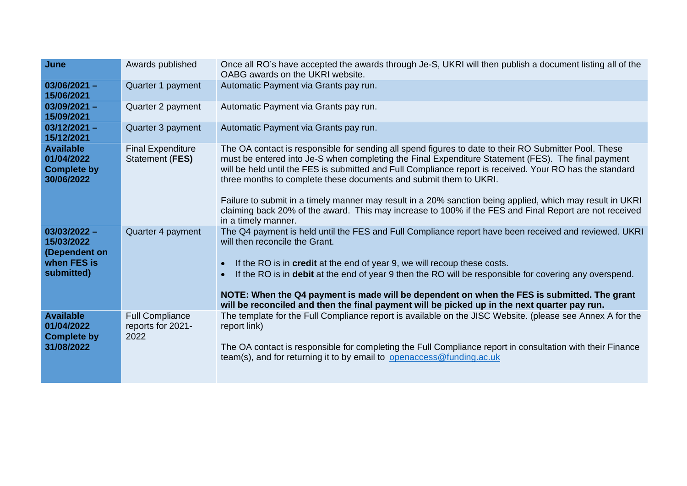| June                                                                       | Awards published                                    | Once all RO's have accepted the awards through Je-S, UKRI will then publish a document listing all of the<br>OABG awards on the UKRI website.                                                                                                                                                                                                                                                                                                                                                                                                                                                                                              |  |  |
|----------------------------------------------------------------------------|-----------------------------------------------------|--------------------------------------------------------------------------------------------------------------------------------------------------------------------------------------------------------------------------------------------------------------------------------------------------------------------------------------------------------------------------------------------------------------------------------------------------------------------------------------------------------------------------------------------------------------------------------------------------------------------------------------------|--|--|
| $03/06/2021 -$<br>15/06/2021                                               | Quarter 1 payment                                   | Automatic Payment via Grants pay run.                                                                                                                                                                                                                                                                                                                                                                                                                                                                                                                                                                                                      |  |  |
| $03/09/2021 -$<br>15/09/2021                                               | Quarter 2 payment                                   | Automatic Payment via Grants pay run.                                                                                                                                                                                                                                                                                                                                                                                                                                                                                                                                                                                                      |  |  |
| $03/12/2021 -$<br>15/12/2021                                               | Quarter 3 payment                                   | Automatic Payment via Grants pay run.                                                                                                                                                                                                                                                                                                                                                                                                                                                                                                                                                                                                      |  |  |
| <b>Available</b><br>01/04/2022<br><b>Complete by</b><br>30/06/2022         | <b>Final Expenditure</b><br>Statement (FES)         | The OA contact is responsible for sending all spend figures to date to their RO Submitter Pool. These<br>must be entered into Je-S when completing the Final Expenditure Statement (FES). The final payment<br>will be held until the FES is submitted and Full Compliance report is received. Your RO has the standard<br>three months to complete these documents and submit them to UKRI.<br>Failure to submit in a timely manner may result in a 20% sanction being applied, which may result in UKRI<br>claiming back 20% of the award. This may increase to 100% if the FES and Final Report are not received<br>in a timely manner. |  |  |
| $03/03/2022 -$<br>15/03/2022<br>(Dependent on<br>when FES is<br>submitted) | Quarter 4 payment                                   | The Q4 payment is held until the FES and Full Compliance report have been received and reviewed. UKRI<br>will then reconcile the Grant.<br>If the RO is in credit at the end of year 9, we will recoup these costs.<br>$\bullet$<br>If the RO is in debit at the end of year 9 then the RO will be responsible for covering any overspend.<br>NOTE: When the Q4 payment is made will be dependent on when the FES is submitted. The grant<br>will be reconciled and then the final payment will be picked up in the next quarter pay run.                                                                                                  |  |  |
| <b>Available</b><br>01/04/2022<br><b>Complete by</b><br>31/08/2022         | <b>Full Compliance</b><br>reports for 2021-<br>2022 | The template for the Full Compliance report is available on the JISC Website. (please see Annex A for the<br>report link)<br>The OA contact is responsible for completing the Full Compliance report in consultation with their Finance<br>team(s), and for returning it to by email to openaccess@funding.ac.uk                                                                                                                                                                                                                                                                                                                           |  |  |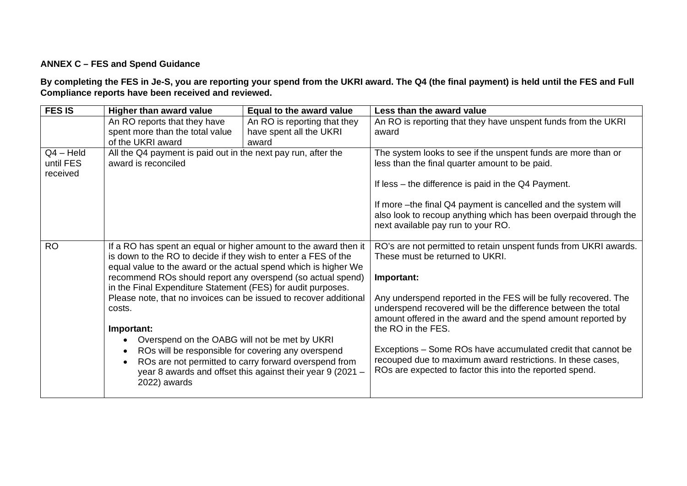### <span id="page-3-0"></span>**ANNEX C – FES and Spend Guidance**

**By completing the FES in Je-S, you are reporting your spend from the UKRI award. The Q4 (the final payment) is held until the FES and Full Compliance reports have been received and reviewed.** 

| <b>FES IS</b>                        | <b>Higher than award value</b>                                                                                                                                                                                                                                                                                                       | Equal to the award value                                                                                            | Less than the award value                                                                                                                                                                                              |
|--------------------------------------|--------------------------------------------------------------------------------------------------------------------------------------------------------------------------------------------------------------------------------------------------------------------------------------------------------------------------------------|---------------------------------------------------------------------------------------------------------------------|------------------------------------------------------------------------------------------------------------------------------------------------------------------------------------------------------------------------|
|                                      | An RO reports that they have<br>spent more than the total value<br>of the UKRI award                                                                                                                                                                                                                                                 | An RO is reporting that they<br>have spent all the UKRI<br>award                                                    | An RO is reporting that they have unspent funds from the UKRI<br>award                                                                                                                                                 |
| $Q4 - Held$<br>until FES<br>received | All the Q4 payment is paid out in the next pay run, after the<br>award is reconciled                                                                                                                                                                                                                                                 |                                                                                                                     | The system looks to see if the unspent funds are more than or<br>less than the final quarter amount to be paid.                                                                                                        |
|                                      |                                                                                                                                                                                                                                                                                                                                      |                                                                                                                     | If less – the difference is paid in the Q4 Payment.                                                                                                                                                                    |
|                                      |                                                                                                                                                                                                                                                                                                                                      |                                                                                                                     | If more -the final Q4 payment is cancelled and the system will<br>also look to recoup anything which has been overpaid through the<br>next available pay run to your RO.                                               |
| <b>RO</b>                            | If a RO has spent an equal or higher amount to the award then it<br>is down to the RO to decide if they wish to enter a FES of the<br>equal value to the award or the actual spend which is higher We<br>recommend ROs should report any overspend (so actual spend)<br>in the Final Expenditure Statement (FES) for audit purposes. |                                                                                                                     | RO's are not permitted to retain unspent funds from UKRI awards.<br>These must be returned to UKRI.<br>Important:                                                                                                      |
|                                      | Please note, that no invoices can be issued to recover additional<br>costs.<br>Important:                                                                                                                                                                                                                                            |                                                                                                                     | Any underspend reported in the FES will be fully recovered. The<br>underspend recovered will be the difference between the total<br>amount offered in the award and the spend amount reported by<br>the RO in the FES. |
|                                      | Overspend on the OABG will not be met by UKRI<br>$\bullet$                                                                                                                                                                                                                                                                           |                                                                                                                     |                                                                                                                                                                                                                        |
|                                      | ROs will be responsible for covering any overspend<br>$\bullet$<br>$\bullet$<br>2022) awards                                                                                                                                                                                                                                         | ROs are not permitted to carry forward overspend from<br>year 8 awards and offset this against their year 9 (2021 - | Exceptions – Some ROs have accumulated credit that cannot be<br>recouped due to maximum award restrictions. In these cases,<br>ROs are expected to factor this into the reported spend.                                |